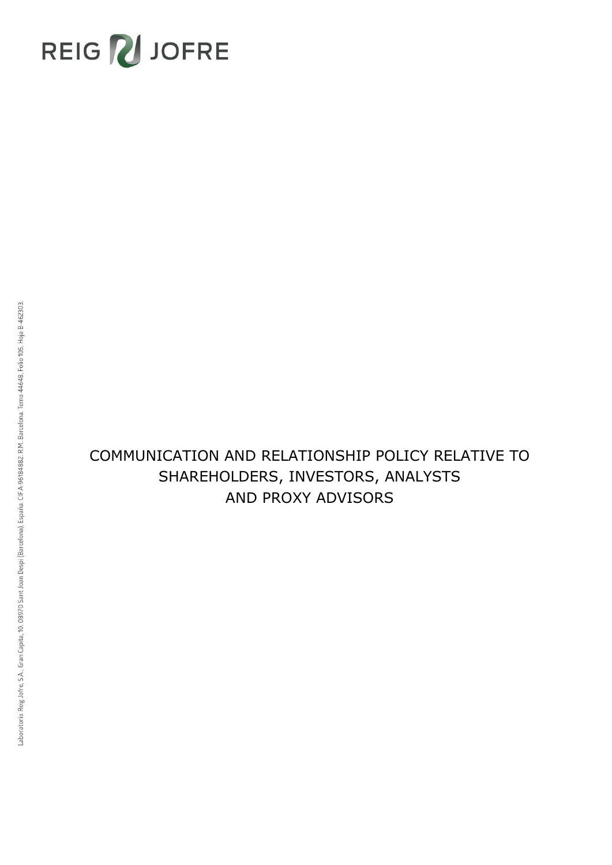

# COMMUNICATION AND RELATIONSHIP POLICY RELATIVE TO SHAREHOLDERS, INVESTORS, ANALYSTS AND PROXY ADVISORS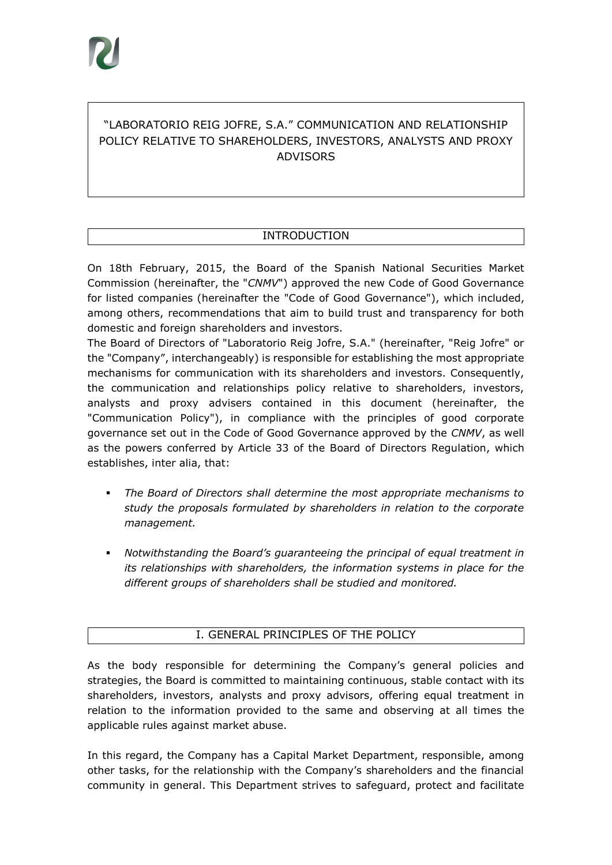## "LABORATORIO REIG JOFRE, S.A." COMMUNICATION AND RELATIONSHIP POLICY RELATIVE TO SHAREHOLDERS, INVESTORS, ANALYSTS AND PROXY ADVISORS

## INTRODUCTION

On 18th February, 2015, the Board of the Spanish National Securities Market Commission (hereinafter, the "*CNMV*") approved the new Code of Good Governance for listed companies (hereinafter the "Code of Good Governance"), which included, among others, recommendations that aim to build trust and transparency for both domestic and foreign shareholders and investors.

The Board of Directors of "Laboratorio Reig Jofre, S.A." (hereinafter, "Reig Jofre" or the "Company", interchangeably) is responsible for establishing the most appropriate mechanisms for communication with its shareholders and investors. Consequently, the communication and relationships policy relative to shareholders, investors, analysts and proxy advisers contained in this document (hereinafter, the "Communication Policy"), in compliance with the principles of good corporate governance set out in the Code of Good Governance approved by the *CNMV*, as well as the powers conferred by Article 33 of the Board of Directors Regulation, which establishes, inter alia, that:

- *The Board of Directors shall determine the most appropriate mechanisms to study the proposals formulated by shareholders in relation to the corporate management.*
- *Notwithstanding the Board's guaranteeing the principal of equal treatment in its relationships with shareholders, the information systems in place for the different groups of shareholders shall be studied and monitored.*

#### I. GENERAL PRINCIPLES OF THE POLICY

As the body responsible for determining the Company's general policies and strategies, the Board is committed to maintaining continuous, stable contact with its shareholders, investors, analysts and proxy advisors, offering equal treatment in relation to the information provided to the same and observing at all times the applicable rules against market abuse.

In this regard, the Company has a Capital Market Department, responsible, among other tasks, for the relationship with the Company's shareholders and the financial community in general. This Department strives to safeguard, protect and facilitate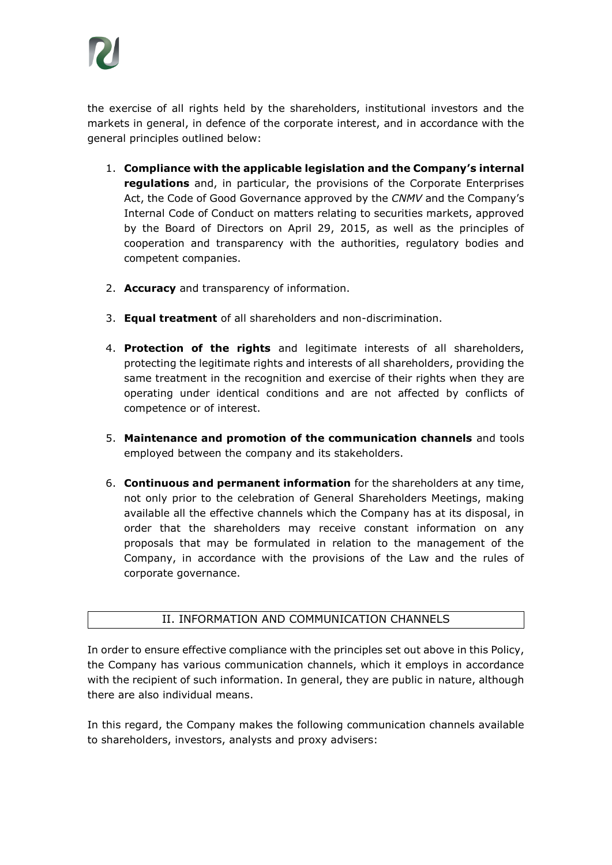

the exercise of all rights held by the shareholders, institutional investors and the markets in general, in defence of the corporate interest, and in accordance with the general principles outlined below:

- 1. **Compliance with the applicable legislation and the Company's internal regulations** and, in particular, the provisions of the Corporate Enterprises Act, the Code of Good Governance approved by the *CNMV* and the Company's Internal Code of Conduct on matters relating to securities markets, approved by the Board of Directors on April 29, 2015, as well as the principles of cooperation and transparency with the authorities, regulatory bodies and competent companies.
- 2. **Accuracy** and transparency of information.
- 3. **Equal treatment** of all shareholders and non-discrimination.
- 4. **Protection of the rights** and legitimate interests of all shareholders, protecting the legitimate rights and interests of all shareholders, providing the same treatment in the recognition and exercise of their rights when they are operating under identical conditions and are not affected by conflicts of competence or of interest.
- 5. **Maintenance and promotion of the communication channels** and tools employed between the company and its stakeholders.
- 6. **Continuous and permanent information** for the shareholders at any time, not only prior to the celebration of General Shareholders Meetings, making available all the effective channels which the Company has at its disposal, in order that the shareholders may receive constant information on any proposals that may be formulated in relation to the management of the Company, in accordance with the provisions of the Law and the rules of corporate governance.

#### II. INFORMATION AND COMMUNICATION CHANNELS

In order to ensure effective compliance with the principles set out above in this Policy, the Company has various communication channels, which it employs in accordance with the recipient of such information. In general, they are public in nature, although there are also individual means.

In this regard, the Company makes the following communication channels available to shareholders, investors, analysts and proxy advisers: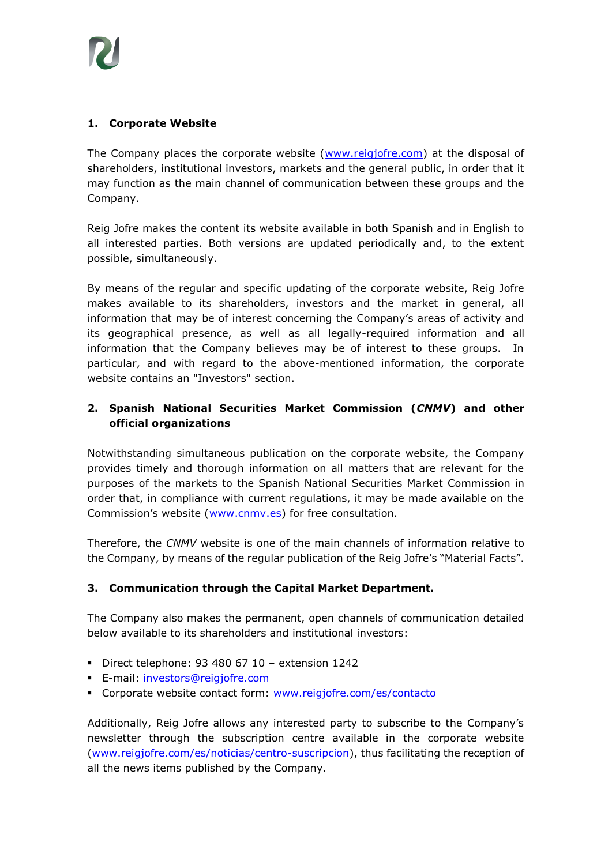

#### **1. Corporate Website**

The Company places the corporate website [\(www.reigjofre.com\)](http://www.reigjofre.com/) at the disposal of shareholders, institutional investors, markets and the general public, in order that it may function as the main channel of communication between these groups and the Company.

Reig Jofre makes the content its website available in both Spanish and in English to all interested parties. Both versions are updated periodically and, to the extent possible, simultaneously.

By means of the regular and specific updating of the corporate website, Reig Jofre makes available to its shareholders, investors and the market in general, all information that may be of interest concerning the Company's areas of activity and its geographical presence, as well as all legally-required information and all information that the Company believes may be of interest to these groups. In particular, and with regard to the above-mentioned information, the corporate website contains an "Investors" section.

### **2. Spanish National Securities Market Commission (***CNMV***) and other official organizations**

Notwithstanding simultaneous publication on the corporate website, the Company provides timely and thorough information on all matters that are relevant for the purposes of the markets to the Spanish National Securities Market Commission in order that, in compliance with current regulations, it may be made available on the Commission's website ([www.cnmv.es\)](http://www.cnmv.es/) for free consultation.

Therefore, the *CNMV* website is one of the main channels of information relative to the Company, by means of the regular publication of the Reig Jofre's "Material Facts".

#### **3. Communication through the Capital Market Department.**

The Company also makes the permanent, open channels of communication detailed below available to its shareholders and institutional investors:

- Direct telephone:  $93,480,67,10$  extension  $1242$
- **E-mail: [investors@reigjofre.com](mailto:investors@reigjofre.com)**
- Corporate website contact form: [www.reigjofre.com/es/contacto](http://www.reigjofre.com/es/contacto)

Additionally, Reig Jofre allows any interested party to subscribe to the Company's newsletter through the subscription centre available in the corporate website [\(www.reigjofre.com/es/noticias/centro-suscripcion\)](http://www.reigjofre.com/es/noticias/centro-suscripcion), thus facilitating the reception of all the news items published by the Company.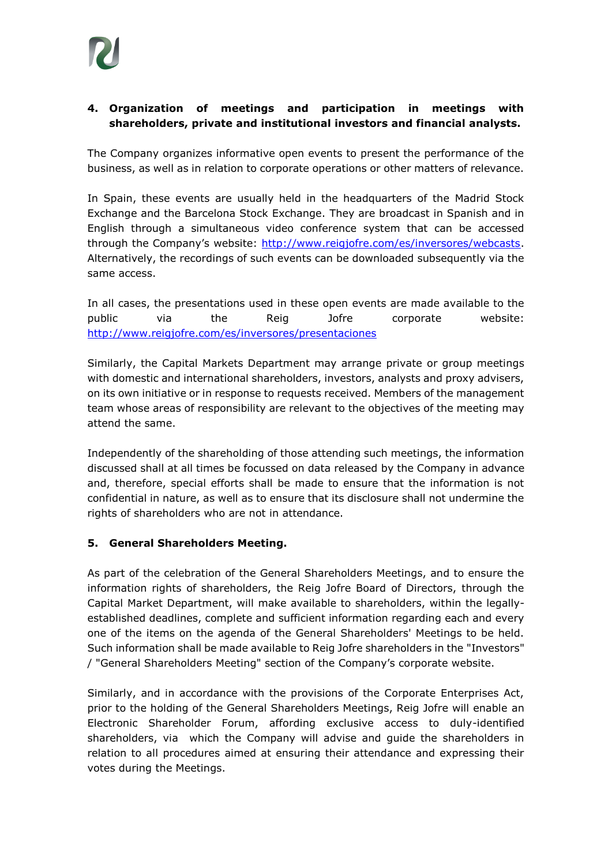### **4. Organization of meetings and participation in meetings with shareholders, private and institutional investors and financial analysts.**

The Company organizes informative open events to present the performance of the business, as well as in relation to corporate operations or other matters of relevance.

In Spain, these events are usually held in the headquarters of the Madrid Stock Exchange and the Barcelona Stock Exchange. They are broadcast in Spanish and in English through a simultaneous video conference system that can be accessed through the Company's website: [http://www.reigjofre.com/es/inversores/webcasts.](http://www.reigjofre.com/es/inversores/webcasts) Alternatively, the recordings of such events can be downloaded subsequently via the same access.

In all cases, the presentations used in these open events are made available to the public via the Reig Jofre corporate website: <http://www.reigjofre.com/es/inversores/presentaciones>

Similarly, the Capital Markets Department may arrange private or group meetings with domestic and international shareholders, investors, analysts and proxy advisers, on its own initiative or in response to requests received. Members of the management team whose areas of responsibility are relevant to the objectives of the meeting may attend the same.

Independently of the shareholding of those attending such meetings, the information discussed shall at all times be focussed on data released by the Company in advance and, therefore, special efforts shall be made to ensure that the information is not confidential in nature, as well as to ensure that its disclosure shall not undermine the rights of shareholders who are not in attendance.

#### **5. General Shareholders Meeting.**

As part of the celebration of the General Shareholders Meetings, and to ensure the information rights of shareholders, the Reig Jofre Board of Directors, through the Capital Market Department, will make available to shareholders, within the legallyestablished deadlines, complete and sufficient information regarding each and every one of the items on the agenda of the General Shareholders' Meetings to be held. Such information shall be made available to Reig Jofre shareholders in the "Investors" / "General Shareholders Meeting" section of the Company's corporate website.

Similarly, and in accordance with the provisions of the Corporate Enterprises Act, prior to the holding of the General Shareholders Meetings, Reig Jofre will enable an Electronic Shareholder Forum, affording exclusive access to duly-identified shareholders, via which the Company will advise and guide the shareholders in relation to all procedures aimed at ensuring their attendance and expressing their votes during the Meetings.